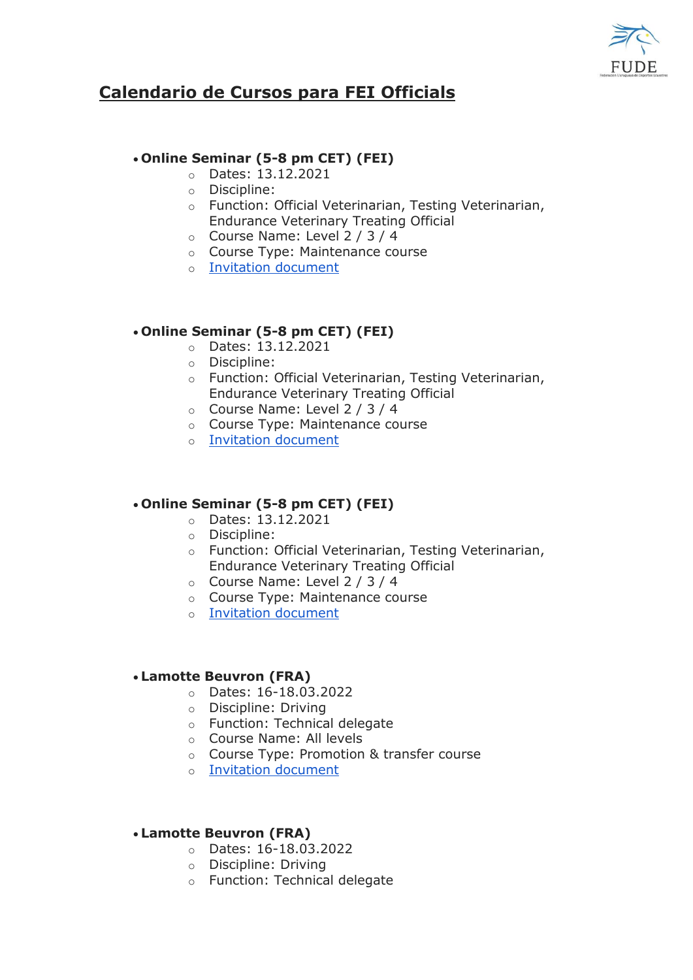

# **Calendario de Cursos para FEI Officials**

## **Online Seminar (5-8 pm CET) (FEI)**

- o Dates: 13.12.2021
- o Discipline:
- o Function: Official Veterinarian, Testing Veterinarian, Endurance Veterinary Treating Official
- o Course Name: Level 2 / 3 / 4
- o Course Type: Maintenance course
- o [Invitation document](https://na01.safelinks.protection.outlook.com/?url=https%3A%2F%2Fdata.fei.org%2FUploadFile%2FDownloadInvitationCourse%2F2324&data=04%7C01%7C%7C84f1de9b6543421073c908d9bc3bb3a0%7C84df9e7fe9f640afb435aaaaaaaaaaaa%7C1%7C0%7C637747786890113572%7CUnknown%7CTWFpbGZsb3d8eyJWIjoiMC4wLjAwMDAiLCJQIjoiV2luMzIiLCJBTiI6Ik1haWwiLCJXVCI6Mn0%3D%7C3000&sdata=8CPAd7TgjgNGVFYlaNUE1cYt7FFtnyeVGp7e0kM9oeI%3D&reserved=0)

## **Online Seminar (5-8 pm CET) (FEI)**

- o Dates: 13.12.2021
- o Discipline:
- o Function: Official Veterinarian, Testing Veterinarian, Endurance Veterinary Treating Official
- o Course Name: Level 2 / 3 / 4
- o Course Type: Maintenance course
- o [Invitation document](https://na01.safelinks.protection.outlook.com/?url=https%3A%2F%2Fdata.fei.org%2FUploadFile%2FDownloadInvitationCourse%2F2325&data=04%7C01%7C%7C84f1de9b6543421073c908d9bc3bb3a0%7C84df9e7fe9f640afb435aaaaaaaaaaaa%7C1%7C0%7C637747786890113572%7CUnknown%7CTWFpbGZsb3d8eyJWIjoiMC4wLjAwMDAiLCJQIjoiV2luMzIiLCJBTiI6Ik1haWwiLCJXVCI6Mn0%3D%7C3000&sdata=g7Z4FFQCmxdS75rkVrFZKVaSVMUOzJ1J%2BskNvQVwKZs%3D&reserved=0)

## **Online Seminar (5-8 pm CET) (FEI)**

- o Dates: 13.12.2021
- o Discipline:
- o Function: Official Veterinarian, Testing Veterinarian, Endurance Veterinary Treating Official
- o Course Name: Level 2 / 3 / 4
- o Course Type: Maintenance course
- o [Invitation document](https://na01.safelinks.protection.outlook.com/?url=https%3A%2F%2Fdata.fei.org%2FUploadFile%2FDownloadInvitationCourse%2F2327&data=04%7C01%7C%7C84f1de9b6543421073c908d9bc3bb3a0%7C84df9e7fe9f640afb435aaaaaaaaaaaa%7C1%7C0%7C637747786890123559%7CUnknown%7CTWFpbGZsb3d8eyJWIjoiMC4wLjAwMDAiLCJQIjoiV2luMzIiLCJBTiI6Ik1haWwiLCJXVCI6Mn0%3D%7C3000&sdata=tqWFkPSozQN2i7xGOo7kB76MjZ9CQikGoIkjyhg1iag%3D&reserved=0)

## **Lamotte Beuvron (FRA)**

- o Dates: 16-18.03.2022
- o Discipline: Driving
- o Function: Technical delegate
- o Course Name: All levels
- o Course Type: Promotion & transfer course
- o [Invitation document](https://na01.safelinks.protection.outlook.com/?url=https%3A%2F%2Fdata.fei.org%2FUploadFile%2FDownloadInvitationCourse%2F2291&data=04%7C01%7C%7C84f1de9b6543421073c908d9bc3bb3a0%7C84df9e7fe9f640afb435aaaaaaaaaaaa%7C1%7C0%7C637747786890123559%7CUnknown%7CTWFpbGZsb3d8eyJWIjoiMC4wLjAwMDAiLCJQIjoiV2luMzIiLCJBTiI6Ik1haWwiLCJXVCI6Mn0%3D%7C3000&sdata=fXRiVVGdbubGWhjmX9mR7T9gROsLlFOAjXblSyRRLMk%3D&reserved=0)

## **Lamotte Beuvron (FRA)**

- o Dates: 16-18.03.2022
- o Discipline: Driving
- o Function: Technical delegate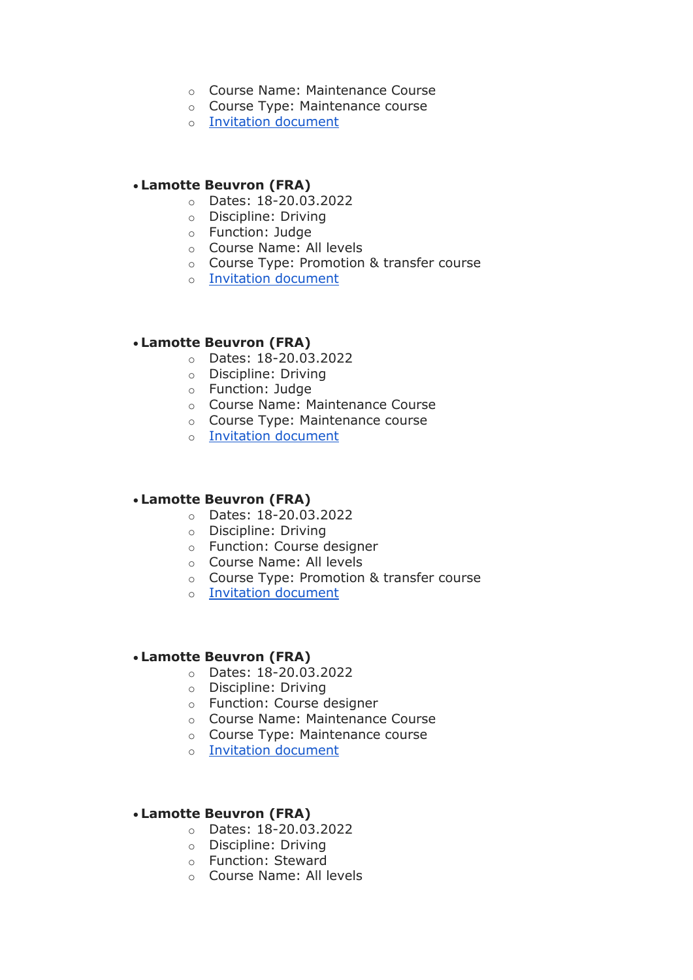- o Course Name: Maintenance Course
- o Course Type: Maintenance course
- o [Invitation document](https://na01.safelinks.protection.outlook.com/?url=https%3A%2F%2Fdata.fei.org%2FUploadFile%2FDownloadInvitationCourse%2F2292&data=04%7C01%7C%7C84f1de9b6543421073c908d9bc3bb3a0%7C84df9e7fe9f640afb435aaaaaaaaaaaa%7C1%7C0%7C637747786890133555%7CUnknown%7CTWFpbGZsb3d8eyJWIjoiMC4wLjAwMDAiLCJQIjoiV2luMzIiLCJBTiI6Ik1haWwiLCJXVCI6Mn0%3D%7C3000&sdata=gPlwMnfajniEuCvlEeFalOF3wHy37oVExvSP942cUtE%3D&reserved=0)

## **Lamotte Beuvron (FRA)**

- o Dates: 18-20.03.2022
- o Discipline: Driving
- o Function: Judge
- o Course Name: All levels
- o Course Type: Promotion & transfer course
- o [Invitation document](https://na01.safelinks.protection.outlook.com/?url=https%3A%2F%2Fdata.fei.org%2FUploadFile%2FDownloadInvitationCourse%2F2293&data=04%7C01%7C%7C84f1de9b6543421073c908d9bc3bb3a0%7C84df9e7fe9f640afb435aaaaaaaaaaaa%7C1%7C0%7C637747786890133555%7CUnknown%7CTWFpbGZsb3d8eyJWIjoiMC4wLjAwMDAiLCJQIjoiV2luMzIiLCJBTiI6Ik1haWwiLCJXVCI6Mn0%3D%7C3000&sdata=DHr%2Br7NKEUaaTIXOul0WNkZ6Io51Tdk6AYHpiVczjI4%3D&reserved=0)

## **Lamotte Beuvron (FRA)**

- o Dates: 18-20.03.2022
- o Discipline: Driving
- o Function: Judge
- o Course Name: Maintenance Course
- o Course Type: Maintenance course
- o [Invitation document](https://na01.safelinks.protection.outlook.com/?url=https%3A%2F%2Fdata.fei.org%2FUploadFile%2FDownloadInvitationCourse%2F2294&data=04%7C01%7C%7C84f1de9b6543421073c908d9bc3bb3a0%7C84df9e7fe9f640afb435aaaaaaaaaaaa%7C1%7C0%7C637747786890143548%7CUnknown%7CTWFpbGZsb3d8eyJWIjoiMC4wLjAwMDAiLCJQIjoiV2luMzIiLCJBTiI6Ik1haWwiLCJXVCI6Mn0%3D%7C3000&sdata=7jbJFJyXiv0RTCSMYm%2BIDC%2FoQq1r3%2FZ2QTjN47tgy3I%3D&reserved=0)

#### **Lamotte Beuvron (FRA)**

- o Dates: 18-20.03.2022
- o Discipline: Driving
- o Function: Course designer
- o Course Name: All levels
- o Course Type: Promotion & transfer course
- o [Invitation document](https://na01.safelinks.protection.outlook.com/?url=https%3A%2F%2Fdata.fei.org%2FUploadFile%2FDownloadInvitationCourse%2F2295&data=04%7C01%7C%7C84f1de9b6543421073c908d9bc3bb3a0%7C84df9e7fe9f640afb435aaaaaaaaaaaa%7C1%7C0%7C637747786890143548%7CUnknown%7CTWFpbGZsb3d8eyJWIjoiMC4wLjAwMDAiLCJQIjoiV2luMzIiLCJBTiI6Ik1haWwiLCJXVCI6Mn0%3D%7C3000&sdata=wdief7b8PhlNSiCFGccliFcMwPouM54cgZJv4VDnqb8%3D&reserved=0)

#### **Lamotte Beuvron (FRA)**

- o Dates: 18-20.03.2022
- o Discipline: Driving
- o Function: Course designer
- o Course Name: Maintenance Course
- o Course Type: Maintenance course
- o [Invitation document](https://na01.safelinks.protection.outlook.com/?url=https%3A%2F%2Fdata.fei.org%2FUploadFile%2FDownloadInvitationCourse%2F2296&data=04%7C01%7C%7C84f1de9b6543421073c908d9bc3bb3a0%7C84df9e7fe9f640afb435aaaaaaaaaaaa%7C1%7C0%7C637747786890153542%7CUnknown%7CTWFpbGZsb3d8eyJWIjoiMC4wLjAwMDAiLCJQIjoiV2luMzIiLCJBTiI6Ik1haWwiLCJXVCI6Mn0%3D%7C3000&sdata=qXhpmBrj13uXFMj%2BS57fY9T%2FoHCaDOGcot7DksLZnhI%3D&reserved=0)

## **Lamotte Beuvron (FRA)**

- o Dates: 18-20.03.2022
- o Discipline: Driving
- o Function: Steward
- o Course Name: All levels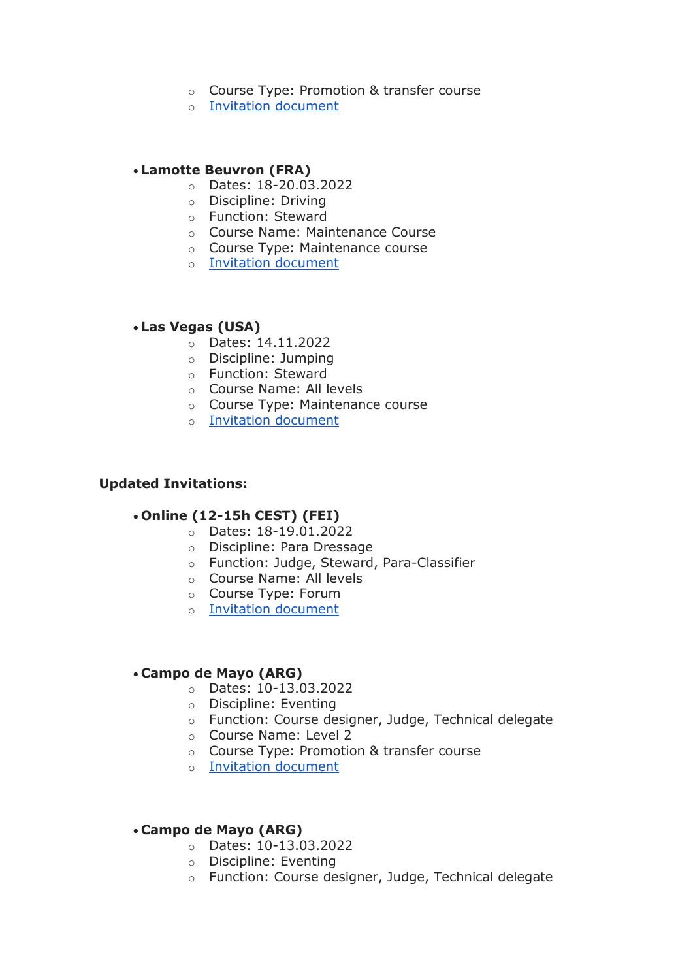- o Course Type: Promotion & transfer course
- o [Invitation document](https://na01.safelinks.protection.outlook.com/?url=https%3A%2F%2Fdata.fei.org%2FUploadFile%2FDownloadInvitationCourse%2F2297&data=04%7C01%7C%7C84f1de9b6543421073c908d9bc3bb3a0%7C84df9e7fe9f640afb435aaaaaaaaaaaa%7C1%7C0%7C637747786890163536%7CUnknown%7CTWFpbGZsb3d8eyJWIjoiMC4wLjAwMDAiLCJQIjoiV2luMzIiLCJBTiI6Ik1haWwiLCJXVCI6Mn0%3D%7C3000&sdata=%2Bh1dJm3M4BNKidQmvJpwtAWIEOrYhxk0F8PChx8t9tg%3D&reserved=0)

## **Lamotte Beuvron (FRA)**

- o Dates: 18-20.03.2022
- o Discipline: Driving
- o Function: Steward
- o Course Name: Maintenance Course
- o Course Type: Maintenance course
- o [Invitation document](https://na01.safelinks.protection.outlook.com/?url=https%3A%2F%2Fdata.fei.org%2FUploadFile%2FDownloadInvitationCourse%2F2298&data=04%7C01%7C%7C84f1de9b6543421073c908d9bc3bb3a0%7C84df9e7fe9f640afb435aaaaaaaaaaaa%7C1%7C0%7C637747786890163536%7CUnknown%7CTWFpbGZsb3d8eyJWIjoiMC4wLjAwMDAiLCJQIjoiV2luMzIiLCJBTiI6Ik1haWwiLCJXVCI6Mn0%3D%7C3000&sdata=xDZxvDE86VPBA0IkmY2jopMXtxr%2FCYwJqbsf%2FPaVbdw%3D&reserved=0)

## **Las Vegas (USA)**

- o Dates: 14.11.2022
- o Discipline: Jumping
- o Function: Steward
- o Course Name: All levels
- o Course Type: Maintenance course
- o [Invitation document](https://na01.safelinks.protection.outlook.com/?url=https%3A%2F%2Fdata.fei.org%2FUploadFile%2FDownloadInvitationCourse%2F2323&data=04%7C01%7C%7C84f1de9b6543421073c908d9bc3bb3a0%7C84df9e7fe9f640afb435aaaaaaaaaaaa%7C1%7C0%7C637747786890173534%7CUnknown%7CTWFpbGZsb3d8eyJWIjoiMC4wLjAwMDAiLCJQIjoiV2luMzIiLCJBTiI6Ik1haWwiLCJXVCI6Mn0%3D%7C3000&sdata=KlmsrNaeSUK8kerW55lYUUlazKYEDqG58fJcoYDTATI%3D&reserved=0)

### **Updated Invitations:**

#### **Online (12-15h CEST) (FEI)**

- o Dates: 18-19.01.2022
- o Discipline: Para Dressage
- o Function: Judge, Steward, Para-Classifier
- o Course Name: All levels
- o Course Type: Forum
- o [Invitation document](https://na01.safelinks.protection.outlook.com/?url=https%3A%2F%2Fdata.fei.org%2FUploadFile%2FDownloadInvitationCourse%2F2318&data=04%7C01%7C%7C84f1de9b6543421073c908d9bc3bb3a0%7C84df9e7fe9f640afb435aaaaaaaaaaaa%7C1%7C0%7C637747786890173534%7CUnknown%7CTWFpbGZsb3d8eyJWIjoiMC4wLjAwMDAiLCJQIjoiV2luMzIiLCJBTiI6Ik1haWwiLCJXVCI6Mn0%3D%7C3000&sdata=omYb2O6hO%2FZK2xQOvqXPmCTNVrnl4Ri2mqP%2BdT7HIIk%3D&reserved=0)

#### **Campo de Mayo (ARG)**

- o Dates: 10-13.03.2022
- o Discipline: Eventing
- o Function: Course designer, Judge, Technical delegate
- o Course Name: Level 2
- o Course Type: Promotion & transfer course
- o [Invitation document](https://na01.safelinks.protection.outlook.com/?url=https%3A%2F%2Fdata.fei.org%2FUploadFile%2FDownloadInvitationCourse%2F2316&data=04%7C01%7C%7C84f1de9b6543421073c908d9bc3bb3a0%7C84df9e7fe9f640afb435aaaaaaaaaaaa%7C1%7C0%7C637747786890183526%7CUnknown%7CTWFpbGZsb3d8eyJWIjoiMC4wLjAwMDAiLCJQIjoiV2luMzIiLCJBTiI6Ik1haWwiLCJXVCI6Mn0%3D%7C3000&sdata=EHKEI4l3pDnH413qIVtwRM09mTzr8qAiF5e1vFBp384%3D&reserved=0)

## **Campo de Mayo (ARG)**

- o Dates: 10-13.03.2022
- o Discipline: Eventing
- o Function: Course designer, Judge, Technical delegate